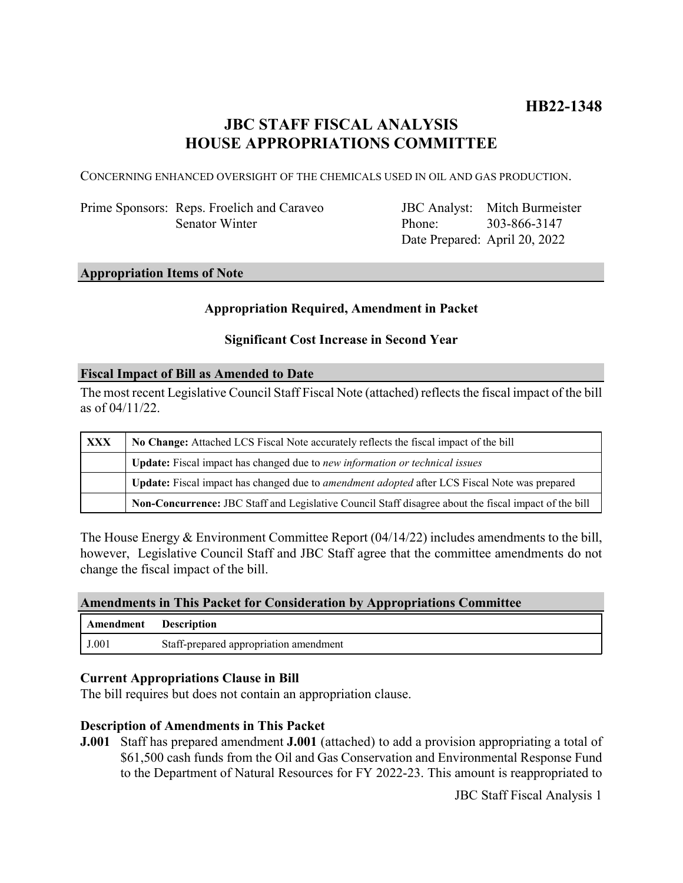## **JBC STAFF FISCAL ANALYSIS HOUSE APPROPRIATIONS COMMITTEE**

CONCERNING ENHANCED OVERSIGHT OF THE CHEMICALS USED IN OIL AND GAS PRODUCTION.

Prime Sponsors: Reps. Froelich and Caraveo Senator Winter

JBC Analyst: Mitch Burmeister Phone: Date Prepared: April 20, 2022 303-866-3147

#### **Appropriation Items of Note**

### **Appropriation Required, Amendment in Packet**

#### **Significant Cost Increase in Second Year**

#### **Fiscal Impact of Bill as Amended to Date**

The most recent Legislative Council Staff Fiscal Note (attached) reflects the fiscal impact of the bill as of 04/11/22.

| <b>XXX</b> | No Change: Attached LCS Fiscal Note accurately reflects the fiscal impact of the bill                 |
|------------|-------------------------------------------------------------------------------------------------------|
|            | Update: Fiscal impact has changed due to new information or technical issues                          |
|            | Update: Fiscal impact has changed due to amendment adopted after LCS Fiscal Note was prepared         |
|            | Non-Concurrence: JBC Staff and Legislative Council Staff disagree about the fiscal impact of the bill |

The House Energy & Environment Committee Report (04/14/22) includes amendments to the bill, however, Legislative Council Staff and JBC Staff agree that the committee amendments do not change the fiscal impact of the bill.

#### **Amendments in This Packet for Consideration by Appropriations Committee**

| Amendment | <b>Description</b>                     |
|-----------|----------------------------------------|
| J.001     | Staff-prepared appropriation amendment |

#### **Current Appropriations Clause in Bill**

The bill requires but does not contain an appropriation clause.

#### **Description of Amendments in This Packet**

**J.001** Staff has prepared amendment **J.001** (attached) to add a provision appropriating a total of \$61,500 cash funds from the Oil and Gas Conservation and Environmental Response Fund to the Department of Natural Resources for FY 2022-23. This amount is reappropriated to

JBC Staff Fiscal Analysis 1